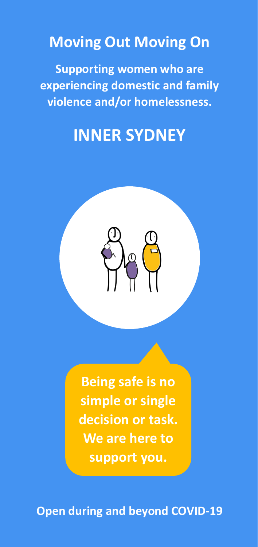## **Moving Out Moving On**

**Supporting women who are experiencing domestic and family violence and/or homelessness.**

## **INNER SYDNEY**



**Being safe is no simple or single decision or task. We are here to support you.**

**Open during and beyond COVID-19**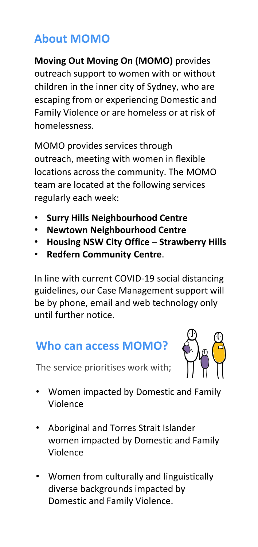### **About MOMO**

**Moving Out Moving On (MOMO)** provides outreach support to women with or without children in the inner city of Sydney, who are escaping from or experiencing Domestic and Family Violence or are homeless or at risk of homelessness.

MOMO provides services through outreach, meeting with women in flexible locations across the community. The MOMO team are located at the following services regularly each week:

- **Surry Hills Neighbourhood Centre**
- **Newtown Neighbourhood Centre**
- **Housing NSW City Office – Strawberry Hills**
- **Redfern Community Centre**.

In line with current COVID-19 social distancing guidelines, our Case Management support will be by phone, email and web technology only until further notice.

## **Who can access MOMO?**

The service prioritises work with;



- Women impacted by Domestic and Family Violence
- Aboriginal and Torres Strait Islander women impacted by Domestic and Family Violence
- Women from culturally and linguistically diverse backgrounds impacted by Domestic and Family Violence.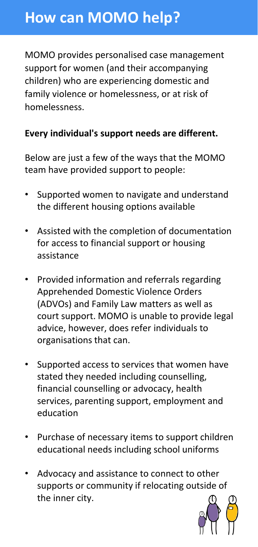## **How can MOMO help?**

MOMO provides personalised case management support for women (and their accompanying children) who are experiencing domestic and family violence or homelessness, or at risk of homelessness.

### **Every individual's support needs are different.**

Below are just a few of the ways that the MOMO team have provided support to people:

- Supported women to navigate and understand the different housing options available
- Assisted with the completion of documentation for access to financial support or housing assistance
- Provided information and referrals regarding Apprehended Domestic Violence Orders (ADVOs) and Family Law matters as well as court support. MOMO is unable to provide legal advice, however, does refer individuals to organisations that can.
- Supported access to services that women have stated they needed including counselling, financial counselling or advocacy, health services, parenting support, employment and education
- Purchase of necessary items to support children educational needs including school uniforms
- Advocacy and assistance to connect to other supports or community if relocating outside of the inner city.

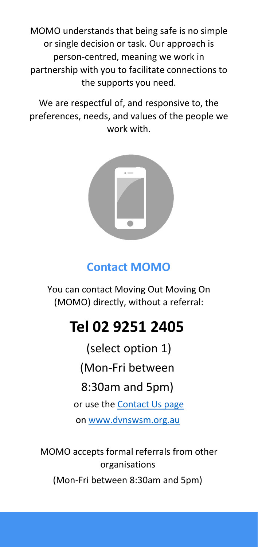MOMO understands that being safe is no simple or single decision or task. Our approach is person-centred, meaning we work in partnership with you to facilitate connections to the supports you need.

We are respectful of, and responsive to, the preferences, needs, and values of the people we work with.



### **Contact MOMO**

You can contact Moving Out Moving On (MOMO) directly, without a referral:

# **Tel 02 9251 2405**

(select option 1)

(Mon-Fri between

### 8:30am and 5pm)

or use the [Contact Us page](https://dvnswsm.org.au/contact/) on [www.dvnswsm.org.au](http://www.dvnswsm.org.au/)

MOMO accepts formal referrals from other organisations

(Mon-Fri between 8:30am and 5pm)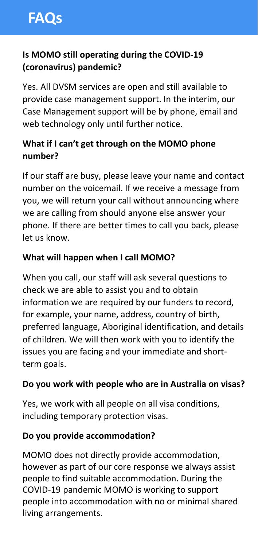### **Is MOMO still operating during the COVID-19 (coronavirus) pandemic?**

Yes. All DVSM services are open and still available to provide case management support. In the interim, our Case Management support will be by phone, email and web technology only until further notice.

### **What if I can't get through on the MOMO phone number?**

If our staff are busy, please leave your name and contact number on the voicemail. If we receive a message from you, we will return your call without announcing where we are calling from should anyone else answer your phone. If there are better times to call you back, please let us know.

#### **What will happen when I call MOMO?**

When you call, our staff will ask several questions to check we are able to assist you and to obtain information we are required by our funders to record, for example, your name, address, country of birth, preferred language, Aboriginal identification, and details of children. We will then work with you to identify the issues you are facing and your immediate and shortterm goals.

#### **Do you work with people who are in Australia on visas?**

Yes, we work with all people on all visa conditions, including temporary protection visas.

#### **Do you provide accommodation?**

MOMO does not directly provide accommodation, however as part of our core response we always assist people to find suitable accommodation. During the COVID-19 pandemic MOMO is working to support people into accommodation with no or minimal shared living arrangements.